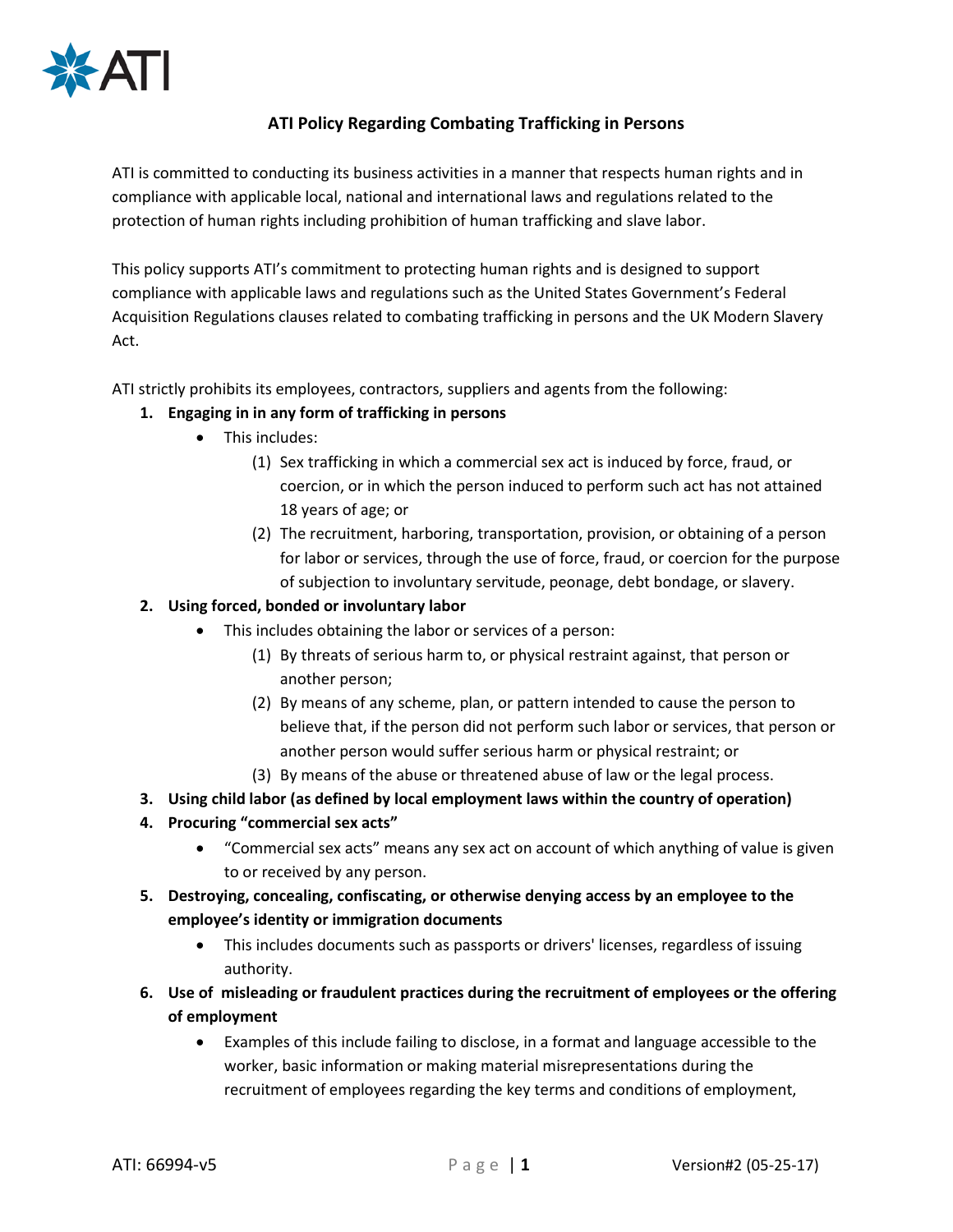

# **ATI Policy Regarding Combating Trafficking in Persons**

ATI is committed to conducting its business activities in a manner that respects human rights and in compliance with applicable local, national and international laws and regulations related to the protection of human rights including prohibition of human trafficking and slave labor.

This policy supports ATI's commitment to protecting human rights and is designed to support compliance with applicable laws and regulations such as the United States Government's Federal Acquisition Regulations clauses related to combating trafficking in persons and the UK Modern Slavery Act.

ATI strictly prohibits its employees, contractors, suppliers and agents from the following:

## **1. Engaging in in any form of trafficking in persons**

- This includes:
	- (1) Sex trafficking in which a commercial sex act is induced by force, fraud, or coercion, or in which the person induced to perform such act has not attained 18 years of age; or
	- (2) The recruitment, harboring, transportation, provision, or obtaining of a person for labor or services, through the use of force, fraud, or coercion for the purpose of subjection to involuntary servitude, peonage, debt bondage, or slavery.

## **2. Using forced, bonded or involuntary labor**

- This includes obtaining the labor or services of a person:
	- (1) By threats of serious harm to, or physical restraint against, that person or another person;
	- (2) By means of any scheme, plan, or pattern intended to cause the person to believe that, if the person did not perform such labor or services, that person or another person would suffer serious harm or physical restraint; or
	- (3) By means of the abuse or threatened abuse of law or the legal process.
- **3. Using child labor (as defined by local employment laws within the country of operation)**
- **4. Procuring "commercial sex acts"**
	- "Commercial sex acts" means any sex act on account of which anything of value is given to or received by any person.
- **5. Destroying, concealing, confiscating, or otherwise denying access by an employee to the employee's identity or immigration documents**
	- This includes documents such as passports or drivers' licenses, regardless of issuing authority.
- **6. Use of misleading or fraudulent practices during the recruitment of employees or the offering of employment**
	- Examples of this include failing to disclose, in a format and language accessible to the worker, basic information or making material misrepresentations during the recruitment of employees regarding the key terms and conditions of employment,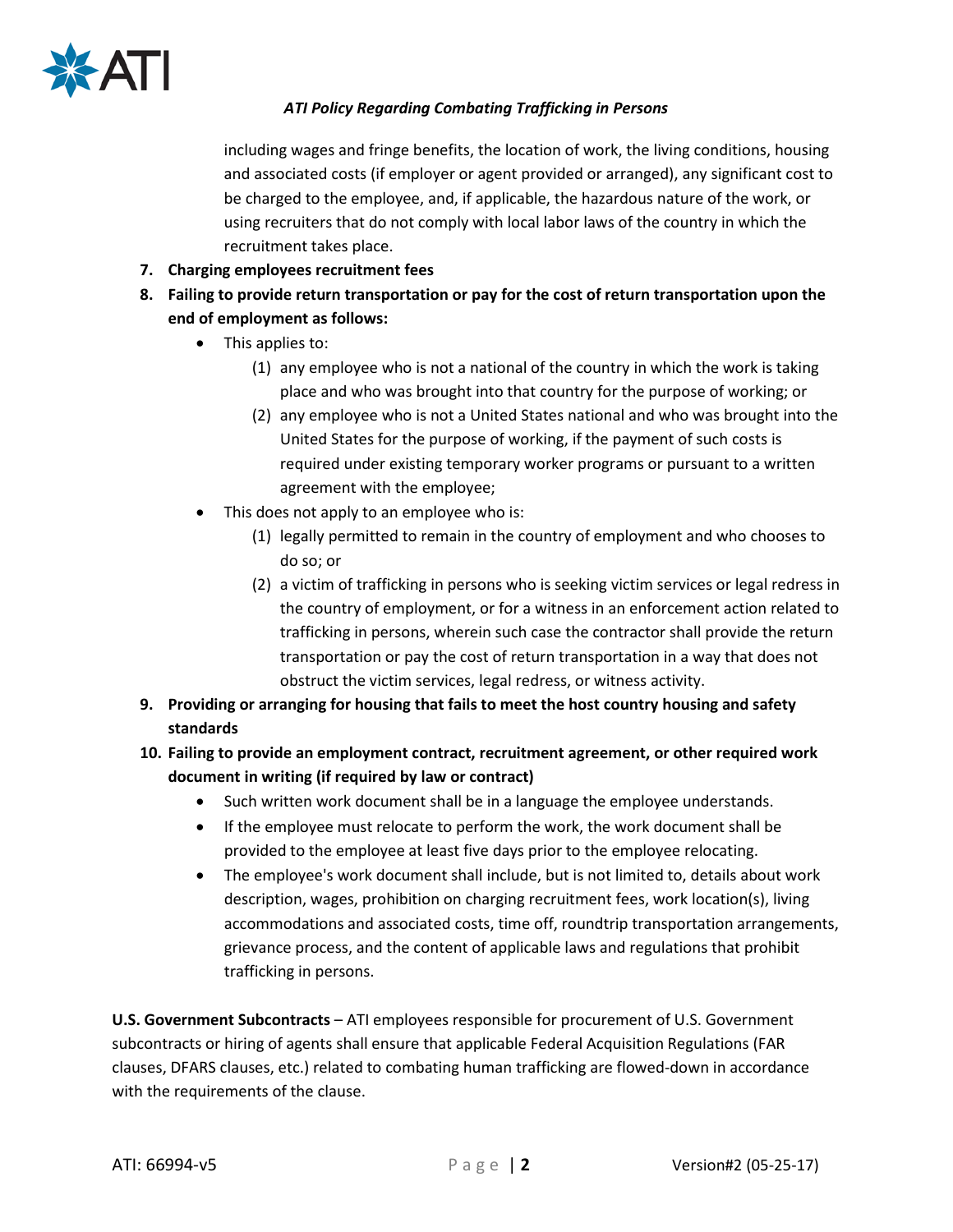

## *ATI Policy Regarding Combating Trafficking in Persons*

including wages and fringe benefits, the location of work, the living conditions, housing and associated costs (if employer or agent provided or arranged), any significant cost to be charged to the employee, and, if applicable, the hazardous nature of the work, or using recruiters that do not comply with local labor laws of the country in which the recruitment takes place.

- **7. Charging employees recruitment fees**
- **8. Failing to provide return transportation or pay for the cost of return transportation upon the end of employment as follows:**
	- This applies to:
		- (1) any employee who is not a national of the country in which the work is taking place and who was brought into that country for the purpose of working; or
		- (2) any employee who is not a United States national and who was brought into the United States for the purpose of working, if the payment of such costs is required under existing temporary worker programs or pursuant to a written agreement with the employee;
	- This does not apply to an employee who is:
		- (1) legally permitted to remain in the country of employment and who chooses to do so; or
		- (2) a victim of trafficking in persons who is seeking victim services or legal redress in the country of employment, or for a witness in an enforcement action related to trafficking in persons, wherein such case the contractor shall provide the return transportation or pay the cost of return transportation in a way that does not obstruct the victim services, legal redress, or witness activity.
- **9. Providing or arranging for housing that fails to meet the host country housing and safety standards**
- **10. Failing to provide an employment contract, recruitment agreement, or other required work document in writing (if required by law or contract)** 
	- Such written work document shall be in a language the employee understands.
	- If the employee must relocate to perform the work, the work document shall be provided to the employee at least five days prior to the employee relocating.
	- The employee's work document shall include, but is not limited to, details about work description, wages, prohibition on charging recruitment fees, work location(s), living accommodations and associated costs, time off, roundtrip transportation arrangements, grievance process, and the content of applicable laws and regulations that prohibit trafficking in persons.

**U.S. Government Subcontracts** – ATI employees responsible for procurement of U.S. Government subcontracts or hiring of agents shall ensure that applicable Federal Acquisition Regulations (FAR clauses, DFARS clauses, etc.) related to combating human trafficking are flowed-down in accordance with the requirements of the clause.